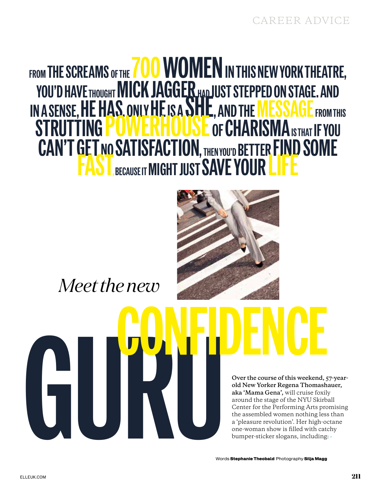# FROM THE SCREAMS OF THE  $700$  WOMEN IN THIS NEW YORK THEATRE, YOU'D HAVE THOUGHT MICK JAGGER HAD JUST STEPPED ON STAGE. AND IN A SENSE, HE HAS, ONLY HE IS A SHIP, AND THE MESSAGE FROM THIS STRUTTING **POWERHOUSE** of **CHARISMA** IS THAT IF YOU CAN'T GET NO SATISFACTION, THEN YOU'D BETTER FIND SOME FAST BECAUSE IT MIGHT JUST SAVE YOURLIFE



*Meet the new*

en and the boundary of the Street of this weekend, and New Yorker Regena Thomash aka 'Mama Gena', will cruise footly a<br>count the stage of the SVU Skitch and the stage of the SVU Skitch and Cenar for the Derforming Arts pro **Over the course of this weekend, 57-yearold New Yorker Regena Thomashauer, aka 'Mama Gena',** will cruise foxily around the stage of the NYU Skirball Center for the Performing Arts promising the assembled women nothing less than a 'pleasure revolution'. Her high-octane one-woman show is filled with catchy bumper-sticker slogans, including: ›

Words **Stephanie Theobald** Photography **Silja Magg**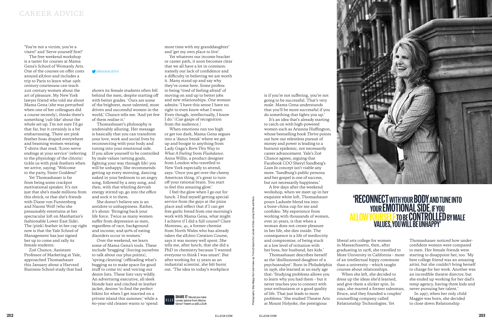is if you're not suffering, you're not going to be successful. That's very male. Mama Gena understands that you'll be more successful if you do something that lights you up.'

It's an idea that's already starting to catch on with high-powered women such as Arianna Huffington, whose bestselling book *Thrive* points out how our relentless pursuit of money and power is leading to a burnout epidemic, not necessarily career advancement. Yale's Zoë Chance agrees, arguing that Facebook COO Sheryl Sandberg's *Lean In* concept isn't viable any more. 'Sandburg's public persona and her gospel is one of success, but not necessarily happiness.'

A few days after the weekend workshop, when we meet up in her exquisite white loft, Thomashauer pours Ladurée-blend tea into a bone-china cup for me and confides: 'My experience from working with thousands of women, over 20 years, is that when a woman does not create pleasure in her life, she dies inside. The consequence is a life of mediocrity and compromise, of being stuck at a low level of irritation with her boss, her husband, her kids.'

### 'RECONNECT WITH YOUR BODY AND TUNE INTO YOUR **EMOTIONAL SIDE.** IF YOU ALLOW YOURSELF TO BE CONTROLLED BY MALE values, you will be unhappy'

Thomashauer describes herself as the 'disillusioned daughter of a psychoanalyst'. Born in Philadelphia in 1956, she learned at an early age that: 'Studying problems allows you to learn why you had them – but it never teaches you to connect with your enthusiasm or a good quality of life. That just leads to more problems.' She studied Theatre Arts at Mount Holyoke, the prestigious

liberal arts college for women in Massachusetts, then, after graduating in 1978, she travelled to More University in California – more of an intellectual hippy commune than a university – which taught courses about relationships. When she left, she decided to dress up the ideas she'd learned, and give them a slicker spin. In 1991, she marred a former salesman, Bruce, and they founded a couples' counselling company called Relationship Technologies. Yet

Thomashauer noticed how underconfident women were compared to men. Her female friends were starting to disappoint her, too. 'My best college friend was an amazing artist, but she couldn't bring herself to charge for her work. Another was an incredible theatre director, but she ended up working for her dad's temp agency, having three kids and never pursuing her talent.'

In 1997, when her only child Maggie was born, she decided to close down Relationship ›



shown its female students often fell behind the men, despite starting off with better grades. 'Ours are some of the brightest, most talented, most driven and successful women in the world,' Chance tells me. 'And yet few of them realise it.'

> ELLEUK.COM<br>
> ELLEUK.COM<br>
> ELLENC.COM<br>
> ELLENC.COM<br>
> ELLENC.COM<br>
> ELLENC.COM<br>
> ELLENC.COM<br>
> ELLENC.COM<br>
> ELLENC.COM<br>
> ELLENC.COM<br>
> ELLENC.COM<br>
> ELLENC.COM<br>
> ELLENC.COM<br>
> ELLENC.COM<br>
> ELLENC.COM<br>
> ELLENC.COM<br>
> ELLENC.COM<br>
> ELLENC.COM<br>
> ELLENC I feel the glow when I go out for lunch. I find myself getting special service from the guys at the pizza place and reflect that if I can get free garlic bread from one morning's work with Mama Gena, what might I achieve if I did a full course? Clare Monteau, 41, a former chemist from North Wales who has already taken the £8,600 Creation Course, says it was money well spent. She tells me, after lunch, that she did a PhD in chemistry because 'I wanted everyone to think I was smart'. But after working for 15 years as an industrial scientist, she felt burnt out. 'The idea in today's workplace

SHARE IT Would you take ELLE career advice from Mama Gena? Tweet us @ELLEUK

Thomashauer's philosophy is undeniably alluring. Her message is basically that you can transform your love, work and social lives by reconnecting with your body and tuning into your emotional side. If you allow yourself to be controlled by male values (setting goals, fighting your way through life) you will be unhappy. She recommends getting up every morning, dancing naked in your bedroom to an angry song, followed by a sexy song, and then, with that whirling dervish energy stirred up, go into the office and sock it to them.

She doesn't believe sex is an antidote to unhappiness. Rather, it's about: 'Bringing back your life force. Twice as many women suffer from depression as men, regardless of race, background and income; and 90% of eating disorders occur in women.'

Over the weekend, we learn some of Mama Gena's tools. These include 'bragging' (forcing ourselves to talk about our plus points), 'spring cleaning' (offloading what's bugging us to make space for good stuff to come in) and voicing our desire lists. These lists vary wildly. An advertising executive, all sleek blonde hair and cinched-in leather jacket, desires 'to find the perfect bikini for when I get married on a private island this summer,' while a 60-year-old cleaner wants to 'spend

more time with my granddaughter' and 'get my own place to live'.

Yet whatever our income bracket or career path, it soon becomes clear that we all have a lot in common: namely our lack of confidence and a difficulty in believing we are worth it. Many stand up and say why they've come here. Some profess to being 'tired of feeling afraid' of moving on and up to better jobs and new relationships. One woman admits: 'I have this sense I have no right to even know what I want. Even though, intellectually, I know I do.' (Cue gasps of recognition from the audience.)

When emotions run too high or get too dark, Mama Gena segues into a 'dance break' where we get up and boogie to anything from Lady Gaga's *Born This Way* to *What A Feeling* from *Flashdance*. Anna Willis, a product designer from London who travelled to New York especially to attend, says: 'Once you get over the cheesy American thing, it's great to turn off your rational brain. You start to feel this amazing glow.'

'You're not a victim, you're a vixen!' and 'Serve yourself first!'

The free weekend workshop is a taster for courses at Mama Gena's School of Womanly Arts. One of the courses on offer costs around £8,600 and includes a trip to Paris to learn what 19th century courtesans can teach 21st century women about the art of pleasure. My New York lawyer friend who told me about Mama Gena (she was perturbed when one of her colleagues did a course recently), thinks there's something 'cult-like' about the whole set-up. I'm not sure I'd go that far, but it certainly is a bit embarrassing. There are pink feather boas draped everywhere and beaming women wearing T-shirts that read, '8,000 nerve endings at your service' (referring to the physiology of the clitoris) tickle us with pink feathers when we arrive, saying: 'Welcome to the party, Sister Goddess!'

Yet Thomashauer is far from being some crackpot motivational speaker. It's not just that she's made millions from this shtick, or that she's friends with Diane von Furstenberg and Naomi Wolf (who she presumably entertains at her spectacular loft on Manhattan's fashionable Lower East Side). The (pink) feather in her cap right now is that the Yale School of Management has just signed her up to come and rally its female students.

Zoë Chance, Assistant Professor of Marketing at Yale, approached Thomashauer this January about a Harvard Business School study that had

#### $@MAMAGENA$